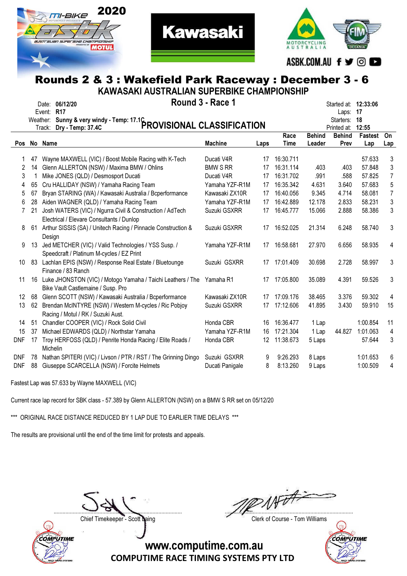



### Rounds 2 & 3 : Wakefield Park Raceway : December 3 - 6 KAWASAKI AUSTRALIAN SUPERBIKE CHAMPIONSHIP

**Kawasaki** 

|         | <u>MAMAJANI AUJI NALIAN JUFENDINE UNAMFIUNJNIF</u> |                                                                                                       |                                   |                 |           |               |                                                         |          |                |  |  |  |  |  |
|---------|----------------------------------------------------|-------------------------------------------------------------------------------------------------------|-----------------------------------|-----------------|-----------|---------------|---------------------------------------------------------|----------|----------------|--|--|--|--|--|
|         | Weather:                                           | Date: 06/12/20<br>Event: R17                                                                          | Round 3 - Race 1                  |                 |           |               | Started at: <b>12:33:06</b><br>Laps: 17<br>Starters: 18 |          |                |  |  |  |  |  |
|         |                                                    | Sunny & very windy - Temp: 17.1C<br>Dr. Tamp: 37.4C<br>Track:                                         |                                   |                 |           |               | Printed at:                                             | 12:55    |                |  |  |  |  |  |
|         |                                                    |                                                                                                       |                                   |                 | Race      | <b>Behind</b> | <b>Behind</b>                                           | Fastest  | On             |  |  |  |  |  |
|         |                                                    | Pos No Name                                                                                           | <b>Machine</b>                    | Laps            | Time      | Leader        | Prev                                                    | Lap      | Lap            |  |  |  |  |  |
| 1       | 47                                                 | Wayne MAXWELL (VIC) / Boost Mobile Racing with K-Tech                                                 | Ducati V4R                        | 17              | 16:30.711 |               |                                                         | 57.633   | 3              |  |  |  |  |  |
| 2       | 14                                                 | Glenn ALLERTON (NSW) / Maxima BMW / Ohlins                                                            | <b>BMW S RR</b>                   | 17              | 16:31.114 | .403          | .403                                                    | 57.848   | 3              |  |  |  |  |  |
|         |                                                    |                                                                                                       |                                   |                 | 16:31.702 |               |                                                         | 57.825   | $\overline{7}$ |  |  |  |  |  |
| 3       |                                                    | Mike JONES (QLD) / Desmosport Ducati                                                                  | Ducati V4R                        | 17              |           | .991          | .588                                                    |          |                |  |  |  |  |  |
| 4       | 65                                                 | Cru HALLIDAY (NSW) / Yamaha Racing Team                                                               | Yamaha YZF-R1M                    | 17              | 16:35.342 | 4.631         | 3.640                                                   | 57.683   | $\overline{5}$ |  |  |  |  |  |
| 5       | 67                                                 | Bryan STARING (WA) / Kawasaki Australia / Bcperformance                                               | Kawasaki ZX10R                    | 17              | 16:40.056 | 9.345         | 4.714                                                   | 58.081   | $\overline{7}$ |  |  |  |  |  |
| 6       | 28                                                 | Aiden WAGNER (QLD) / Yamaha Racing Team                                                               | Yamaha YZF-R1M                    | 17              | 16:42.889 | 12.178        | 2.833                                                   | 58.231   | 3              |  |  |  |  |  |
| 7       | 21                                                 | Josh WATERS (VIC) / Ngurra Civil & Construction / AdTech<br>Electrical / Elevare Consultants / Dunlop | Suzuki GSXRR                      | 17              | 16:45.777 | 15.066        | 2.888                                                   | 58.386   | 3              |  |  |  |  |  |
| 8       | 61                                                 | Arthur SISSIS (SA) / Unitech Racing / Pinnacle Construction &                                         | Suzuki GSXRR                      | 17              | 16:52.025 | 21.314        | 6.248                                                   | 58.740   | 3              |  |  |  |  |  |
|         |                                                    | Design                                                                                                |                                   |                 |           |               |                                                         |          |                |  |  |  |  |  |
| 9       | 13                                                 | Jed METCHER (VIC) / Valid Technologies / YSS Susp. /                                                  | 16:58.681<br>Yamaha YZF-R1M<br>17 |                 |           |               | 6.656                                                   | 58.935   | 4              |  |  |  |  |  |
|         |                                                    | Speedcraft / Platinum M-cycles / EZ Print                                                             |                                   |                 |           |               |                                                         |          |                |  |  |  |  |  |
| 10      |                                                    | 83 Lachlan EPIS (NSW) / Response Real Estate / Bluetounge<br>Finance / 83 Ranch                       | Suzuki GSXRR                      | 17              | 17:01.409 | 30.698        | 2.728                                                   | 58.997   | 3              |  |  |  |  |  |
| 11      |                                                    | 16 Luke JHONSTON (VIC) / Motogo Yamaha / Taichi Leathers / The<br>Bike Vault Castlemaine / Susp. Pro  | Yamaha R1                         | 17              | 17:05.800 | 35.089        | 4.391                                                   | 59.526   | 3              |  |  |  |  |  |
| $12 \,$ | 68                                                 | Glenn SCOTT (NSW) / Kawasaki Australia / Bcperformance                                                | Kawasaki ZX10R                    | 17              | 17:09.176 | 38.465        | 3.376                                                   | 59.302   | 4              |  |  |  |  |  |
| 13      | 62                                                 | Brendan McINTYRE (NSW) / Western M-cycles / Ric Pobjoy                                                | Suzuki GSXRR                      | 17              | 17:12.606 | 41.895        | 3.430                                                   | 59.910   | 15             |  |  |  |  |  |
|         |                                                    | Racing / Motul / RK / Suzuki Aust.                                                                    |                                   |                 |           |               |                                                         |          |                |  |  |  |  |  |
| 14      | 51                                                 | Chandler COOPER (VIC) / Rock Solid Civil                                                              | Honda CBR                         | 16              | 16:36.477 | 1 Lap         |                                                         | 1:00.854 | 11             |  |  |  |  |  |
| 15      | 37                                                 | Michael EDWARDS (QLD) / Northstar Yamaha                                                              | Yamaha YZF-R1M                    | 16              | 17:21.304 | 1 Lap         | 44.827                                                  | 1:01.063 | 4              |  |  |  |  |  |
| DNF     |                                                    | Troy HERFOSS (QLD) / Penrite Honda Racing / Elite Roads /                                             | Honda CBR                         | 12 <sup>°</sup> | 11:38.673 | 5 Laps        |                                                         | 57.644   | 3              |  |  |  |  |  |
|         | 17                                                 | Michelin                                                                                              |                                   |                 |           |               |                                                         |          |                |  |  |  |  |  |
| DNF     | 78                                                 | Nathan SPITERI (VIC) / Livson / PTR / RST / The Grinning Dingo                                        | Suzuki GSXRR                      | 9               | 9:26.293  | 8 Laps        |                                                         | 1:01.653 | 6              |  |  |  |  |  |
| DNF     | 88                                                 | Giuseppe SCARCELLA (NSW) / Forcite Helmets                                                            | Ducati Panigale                   | 8               | 8:13.260  | 9 Laps        |                                                         | 1:00.509 | 4              |  |  |  |  |  |
|         |                                                    |                                                                                                       |                                   |                 |           |               |                                                         |          |                |  |  |  |  |  |

Fastest Lap was 57.633 by Wayne MAXWELL (VIC)

Current race lap record for SBK class - 57.389 by Glenn ALLERTON (NSW) on a BMW S RR set on 05/12/20

\*\*\* ORIGINAL RACE DISTANCE REDUCED BY 1 LAP DUE TO EARLIER TIME DELAYS \*\*\*

The results are provisional until the end of the time limit for protests and appeals.



....................................................................................... .......................................................................................

Chief Timekeeper - Scott Laing Chief Timekeeper - Scott Laing

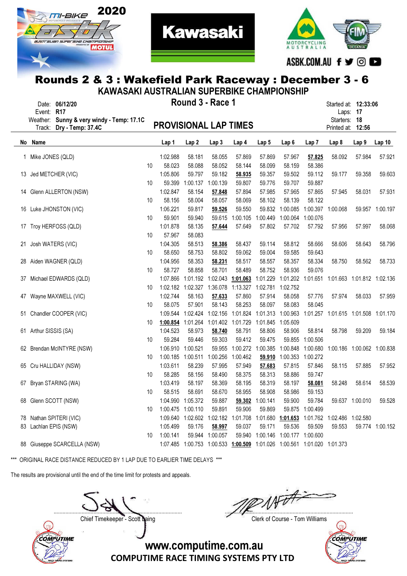



**Kawasaki** 

| KAWASAKI AUSTRALIAN SUPERBIKE CHAMPIONSHIP |                                                             |    |                              |                   |                              |                                                                         |                   |                   |                 |                                                            |                 |                 |
|--------------------------------------------|-------------------------------------------------------------|----|------------------------------|-------------------|------------------------------|-------------------------------------------------------------------------|-------------------|-------------------|-----------------|------------------------------------------------------------|-----------------|-----------------|
| Event: R17                                 | Date: 06/12/20<br>Weather: Sunny & very windy - Temp: 17.1C |    |                              | Round 3 - Race 1  |                              | Started at: 12:33:06<br>Starters: 18                                    | Laps: 17          |                   |                 |                                                            |                 |                 |
| Track:                                     | Dry - Temp: 37.4C                                           |    | <b>PROVISIONAL LAP TIMES</b> |                   |                              |                                                                         |                   |                   |                 | Printed at: 12:56                                          |                 |                 |
| No Name                                    |                                                             |    | Lap 1                        | Lap 2             | Lap <sub>3</sub>             | Lap 4                                                                   | Lap 5             | Lap 6             | Lap 7           | Lap 8                                                      | Lap 9           | Lap 10          |
| 1 Mike JONES (QLD)                         |                                                             |    | 1:02.988                     | 58.181            | 58.055                       | 57.869                                                                  | 57.869            | 57.967            | 57.825          | 58.092                                                     | 57.984          | 57.921          |
|                                            |                                                             | 10 | 58.023                       | 58.088            | 58.052                       | 58.144                                                                  | 58.099            | 58.159            | 58.386          |                                                            |                 |                 |
| 13 Jed METCHER (VIC)                       |                                                             |    | 1:05.806                     | 59.797            | 59.182                       | 58.935                                                                  | 59.357            | 59.502            | 59.112          | 59.177                                                     | 59.358          | 59.603          |
|                                            |                                                             | 10 | 59.399                       | 1:00.137          | 1:00.139                     | 59.807                                                                  | 59.776            | 59.707            | 59.887          |                                                            |                 |                 |
|                                            | 14 Glenn ALLERTON (NSW)                                     |    | 1:02.847                     | 58.154            | 57.848                       | 57.894                                                                  | 57.985            | 57.965            | 57.865          | 57.945                                                     | 58.031          | 57.931          |
|                                            |                                                             | 10 | 58.156                       | 58.004            | 58.057                       | 58.069                                                                  | 58.102            | 58.139            | 58.122          |                                                            |                 |                 |
|                                            | 16 Luke JHONSTON (VIC)                                      |    | 1:06.221                     | 59.817            | 59.526                       | 59.550                                                                  | 59.832            | 1:00.085          | 1:00.397        | 1:00.068                                                   |                 | 59.957 1:00.197 |
|                                            |                                                             | 10 | 59.901                       | 59.940            | 59.615                       | 1:00.105                                                                | 1:00.449          | 1:00.064          | 1:00.076        |                                                            |                 |                 |
|                                            | 17 Troy HERFOSS (QLD)                                       |    | 1:01.878                     | 58.135            | 57.644                       | 57.649                                                                  | 57.802            | 57.702            | 57.792          | 57.956                                                     | 57.997          | 58.068          |
|                                            |                                                             | 10 | 57.967                       | 58.083            |                              |                                                                         |                   |                   |                 |                                                            |                 |                 |
| 21 Josh WATERS (VIC)                       |                                                             |    | 1:04.305                     | 58.513            | 58.386                       | 58.437                                                                  | 59.114            | 58.812            | 58.666          | 58.606                                                     | 58.643          | 58.796          |
|                                            |                                                             | 10 | 58.650                       | 58.753            | 58.802                       | 59.062                                                                  | 59.004            | 59.585            | 59.643          |                                                            |                 |                 |
|                                            | 28 Aiden WAGNER (QLD)                                       |    | 1:04.956                     | 58.353            | 58.231                       | 58.517                                                                  | 58.557            | 58.357            | 58.334          | 58.750                                                     | 58.562          | 58.733          |
|                                            |                                                             | 10 | 58.727                       | 58.858            | 58.701                       | 58.489                                                                  | 58.752            | 58.936            | 59.076          |                                                            |                 |                 |
|                                            | 37 Michael EDWARDS (QLD)                                    |    | 1:07.866                     | 1:01.192          |                              | 1:02.043 1:01.063                                                       | 1:01.229          | 1:01.202          |                 | 1:01.651 1:01.663 1:01.812 1:02.136                        |                 |                 |
|                                            |                                                             | 10 | 1:02.182                     | 1:02.327          | 1:36.078                     |                                                                         | 1:13.327 1:02.781 | 1:02.752          |                 |                                                            |                 |                 |
|                                            | 47 Wayne MAXWELL (VIC)                                      |    | 1:02.744                     | 58.163            | 57.633                       | 57.860                                                                  | 57.914            | 58.058            | 57.776          | 57.974                                                     | 58.033          | 57.959          |
|                                            |                                                             | 10 | 58.075                       | 57.901            | 58.143                       | 58.253                                                                  | 58.097            | 58.083            | 58.045          |                                                            |                 |                 |
|                                            | 51 Chandler COOPER (VIC)                                    |    | 1:09.544                     | 1:02.424          | 1:02.156                     | 1:01.824                                                                | 1:01.313          | 1:00.963          |                 | 1:01.257 1:01.615 1:01.508 1:01.170                        |                 |                 |
|                                            |                                                             | 10 | 1:00.854                     | 1:01.264          | 1:01.402                     |                                                                         | 1:01.729 1:01.845 | 1:05.609          |                 |                                                            |                 |                 |
| 61 Arthur SISSIS (SA)                      |                                                             |    | 1:04.523                     | 58.973            | 58.740                       | 58.791                                                                  | 58.806            | 58.906            | 58.814          | 58.798                                                     | 59.209          | 59.184          |
|                                            |                                                             | 10 | 59.284                       | 59.446            | 59.303                       | 59.412                                                                  | 59.475            | 59.855            | 1:00.506        |                                                            |                 |                 |
|                                            | 62 Brendan McINTYRE (NSW)                                   |    | 1:06.910                     | 1:00.521          | 59.955                       |                                                                         | 1:00.272 1:00.385 | 1:00.848          | 1:00.680        | 1:00.186 1:00.062 1:00.838                                 |                 |                 |
|                                            |                                                             | 10 | 1:00.185                     | 1:00.511          | 1:00.256                     | 1:00.462                                                                | 59.910            | 1:00.353          | 1:00.272        |                                                            |                 |                 |
|                                            | 65 Cru HALLIDAY (NSW)                                       |    | 1:03.611                     | 58.239            | 57.995                       | 57.949                                                                  | 57.683            | 57.815            | 57.846          | 58.115                                                     | 57.885          | 57.952          |
|                                            |                                                             | 10 | 58.285                       | 58.156            | 58.490                       | 58.375                                                                  | 58.313            | 58.886            | 59.747          |                                                            |                 |                 |
|                                            | 67 Bryan STARING (WA)                                       |    | 1:03.419                     | 58.197            | 58.369                       | 58.195                                                                  | 58.319            | 58.197            | 58.081          | 58.248                                                     | 58.614          | 58.539          |
|                                            |                                                             | 10 | 58.515                       | 58.691            | 58.670                       | 58.955                                                                  | 58.908            | 58.986            | 59.153          |                                                            |                 |                 |
| 68 Glenn SCOTT (NSW)                       |                                                             |    |                              | 1:04.990 1:05.372 | 59.887                       |                                                                         | 59.302 1:00.141   | 59.900            | 59.784          |                                                            | 59.637 1:00.010 | 59.528          |
|                                            |                                                             | 10 | 1:00.475 1:00.110            |                   | 59.891                       | 59.906                                                                  | 59.869            |                   | 59.875 1:00.499 |                                                            |                 |                 |
|                                            | 78 Nathan SPITERI (VIC)                                     |    |                              |                   | 1:09.640  1:02.602  1:02.182 |                                                                         |                   |                   |                 | 1:01.708  1:01.680  1:01.653  1:01.762  1:02.486  1:02.580 |                 |                 |
| 83 Lachlan EPIS (NSW)                      |                                                             |    | 1:05.499                     | 59.176            | 58.997                       | 59.037                                                                  | 59.171            | 59.536            | 59.509          | 59.553                                                     |                 | 59.774 1:00.152 |
|                                            |                                                             |    | 1:00.141                     |                   | 59.944 1:00.057              |                                                                         | 59.940 1:00.146   | 1:00.177 1:00.600 |                 |                                                            |                 |                 |
|                                            | 88 Giuseppe SCARCELLA (NSW)                                 | 10 |                              |                   |                              | 1:07.485 1:00.753 1:00.533 1:00.509 1:01.026 1:00.561 1:01.020 1:01.373 |                   |                   |                 |                                                            |                 |                 |

\*\*\* ORIGINAL RACE DISTANCE REDUCED BY 1 LAP DUE TO EARLIER TIME DELAYS \*\*\*

The results are provisional until the end of the time limit for protests and appeals.



....................................................................................... .......................................................................................

Chief Timekeeper - Scott Laing Chief Timekeeper - Scott Laing

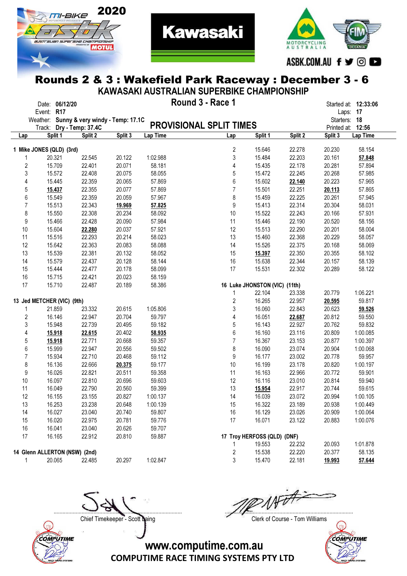



**Kawasaki** 

|                  | KAWASAKI AUSTRALIAN SUPERBIKE CHAMPIONSHIP                 |         |         |          |                                |                               |         |              |                   |  |  |  |  |  |
|------------------|------------------------------------------------------------|---------|---------|----------|--------------------------------|-------------------------------|---------|--------------|-------------------|--|--|--|--|--|
|                  | Round 3 - Race 1<br>Date: 06/12/20<br>Started at: 12:33:06 |         |         |          |                                |                               |         |              |                   |  |  |  |  |  |
|                  | Event: R17                                                 |         |         |          |                                |                               |         |              | Laps: 17          |  |  |  |  |  |
|                  | Weather: Sunny & very windy - Temp: 17.1C                  |         |         |          |                                |                               |         | Starters: 18 |                   |  |  |  |  |  |
|                  | Track: Dry - Temp: 37.4C                                   |         |         |          | <b>PROVISIONAL SPLIT TIMES</b> |                               |         |              | Printed at: 12:56 |  |  |  |  |  |
| Lap              | Split 1                                                    | Split 2 | Split 3 | Lap Time | Lap                            | Split 1                       | Split 2 | Split 3      | Lap Time          |  |  |  |  |  |
|                  |                                                            |         |         |          |                                |                               |         |              |                   |  |  |  |  |  |
|                  | 1 Mike JONES (QLD) (3rd)                                   |         |         |          | $\overline{2}$                 | 15.646                        | 22.278  | 20.230       | 58.154            |  |  |  |  |  |
| 1                | 20.321                                                     | 22.545  | 20.122  | 1:02.988 | $\sqrt{3}$                     | 15.484                        | 22.203  | 20.161       | 57.848            |  |  |  |  |  |
| 2                | 15.709                                                     | 22.401  | 20.071  | 58.181   | 4                              | 15.435                        | 22.178  | 20.281       | 57.894            |  |  |  |  |  |
| 3                | 15.572                                                     | 22.408  | 20.075  | 58.055   | 5                              | 15.472                        | 22.245  | 20.268       | 57.985            |  |  |  |  |  |
| 4                | 15.445                                                     | 22.359  | 20.065  | 57.869   | 6                              | 15.602                        | 22.140  | 20.223       | 57.965            |  |  |  |  |  |
| 5                | 15.437                                                     | 22.355  | 20.077  | 57.869   | $\overline{7}$                 | 15.501                        | 22.251  | 20.113       | 57.865            |  |  |  |  |  |
| 6                | 15.549                                                     | 22.359  | 20.059  | 57.967   | 8                              | 15.459                        | 22.225  | 20.261       | 57.945            |  |  |  |  |  |
| $\overline{7}$   | 15.513                                                     | 22.343  | 19.969  | 57.825   | $\boldsymbol{9}$               | 15.413                        | 22.314  | 20.304       | 58.031            |  |  |  |  |  |
| 8                | 15.550                                                     | 22.308  | 20.234  | 58.092   | 10                             | 15.522                        | 22.243  | 20.166       | 57.931            |  |  |  |  |  |
| $\boldsymbol{9}$ | 15.466                                                     | 22.428  | 20.090  | 57.984   | 11                             | 15.446                        | 22.190  | 20.520       | 58.156            |  |  |  |  |  |
| 10               | 15.604                                                     | 22.280  | 20.037  | 57.921   | 12                             | 15.513                        | 22.290  | 20.201       | 58.004            |  |  |  |  |  |
| 11               | 15.516                                                     | 22.293  | 20.214  | 58.023   | 13                             | 15.460                        | 22.368  | 20.229       | 58.057            |  |  |  |  |  |
| 12               | 15.642                                                     | 22.363  | 20.083  | 58.088   | 14                             | 15.526                        | 22.375  | 20.168       | 58.069            |  |  |  |  |  |
| 13               | 15.539                                                     | 22.381  | 20.132  | 58.052   | 15                             | 15.397                        | 22.350  | 20.355       | 58.102            |  |  |  |  |  |
| 14               | 15.579                                                     | 22.437  | 20.128  | 58.144   | 16                             | 15.638                        | 22.344  | 20.157       | 58.139            |  |  |  |  |  |
| 15               | 15.444                                                     | 22.477  | 20.178  | 58.099   | 17                             | 15.531                        | 22.302  | 20.289       | 58.122            |  |  |  |  |  |
| 16               | 15.715                                                     | 22.421  | 20.023  | 58.159   |                                |                               |         |              |                   |  |  |  |  |  |
| 17               | 15.710                                                     | 22.487  | 20.189  | 58.386   |                                | 16 Luke JHONSTON (VIC) (11th) |         |              |                   |  |  |  |  |  |
|                  |                                                            |         |         |          | $\mathbf{1}$                   | 22.104                        | 23.338  | 20.779       | 1:06.221          |  |  |  |  |  |
|                  | 13 Jed METCHER (VIC) (9th)                                 |         |         |          | $\overline{c}$                 | 16.265                        | 22.957  | 20.595       | 59.817            |  |  |  |  |  |
| 1                | 21.859                                                     | 23.332  | 20.615  | 1:05.806 | 3                              | 16.060                        | 22.843  | 20.623       | 59.526            |  |  |  |  |  |
| 2                | 16.146                                                     | 22.947  | 20.704  | 59.797   | 4                              | 16.051                        | 22.687  | 20.812       | 59.550            |  |  |  |  |  |
| 3                | 15.948                                                     | 22.739  | 20.495  | 59.182   | 5                              | 16.143                        | 22.927  | 20.762       | 59.832            |  |  |  |  |  |
| 4                | 15.918                                                     | 22.615  | 20.402  | 58.935   | 6                              | 16.160                        | 23.116  | 20.809       | 1:00.085          |  |  |  |  |  |
| 5                | 15.918                                                     | 22.771  | 20.668  | 59.357   | $\overline{7}$                 | 16.367                        | 23.153  | 20.877       | 1:00.397          |  |  |  |  |  |
| 6                | 15.999                                                     | 22.947  | 20.556  | 59.502   | 8                              | 16.090                        | 23.074  | 20.904       | 1:00.068          |  |  |  |  |  |
| $\overline{7}$   | 15.934                                                     | 22.710  | 20.468  | 59.112   | $\boldsymbol{9}$               | 16.177                        | 23.002  | 20.778       | 59.957            |  |  |  |  |  |
| 8                | 16.136                                                     | 22.666  | 20.375  | 59.177   | 10                             | 16.199                        | 23.178  | 20.820       | 1:00.197          |  |  |  |  |  |
| 9                | 16.026                                                     | 22.821  | 20.511  | 59.358   | 11                             | 16.163                        | 22.966  | 20.772       | 59.901            |  |  |  |  |  |
| 10               | 16.097                                                     | 22.810  | 20.696  | 59.603   | 12                             | 16.116                        | 23.010  | 20.814       | 59.940            |  |  |  |  |  |
| 11               | 16.049                                                     | 22.790  | 20.560  | 59.399   | 13                             | 15.954                        | 22.917  | 20.744       | 59.615            |  |  |  |  |  |
| 12               | 16.155                                                     | 23.155  | 20.827  | 1:00.137 | 14                             | 16.039                        | 23.072  | 20.994       | 1:00.105          |  |  |  |  |  |
| 13               | 16.253                                                     | 23.238  | 20.648  | 1:00.139 | 15                             | 16.322                        | 23.189  | 20.938       | 1:00.449          |  |  |  |  |  |
| 14               | 16.027                                                     | 23.040  | 20.740  | 59.807   | 16                             | 16.129                        | 23.026  | 20.909       | 1:00.064          |  |  |  |  |  |
| 15               | 16.020                                                     | 22.975  | 20.781  | 59.776   | 17                             | 16.071                        | 23.122  | 20.883       | 1:00.076          |  |  |  |  |  |
| 16               | 16.041                                                     | 23.040  | 20.626  | 59.707   |                                |                               |         |              |                   |  |  |  |  |  |
| 17               | 16.165                                                     | 22.912  | 20.810  | 59.887   |                                | 17 Troy HERFOSS (QLD) (DNF)   |         |              |                   |  |  |  |  |  |
|                  |                                                            |         |         |          | 1                              | 19.553                        | 22.232  | 20.093       | 1:01.878          |  |  |  |  |  |
|                  | 14 Glenn ALLERTON (NSW) (2nd)                              |         |         |          | 2                              | 15.538                        | 22.220  | 20.377       | 58.135            |  |  |  |  |  |
| 1                | 20.065                                                     | 22.485  | 20.297  | 1:02.847 | $\sqrt{3}$                     | 15.470                        | 22.181  | 19.993       | 57.644            |  |  |  |  |  |



Chief Timekeeper - Scott Laing Chief Timekeeper - Scott Laing

....................................................................................... .......................................................................................

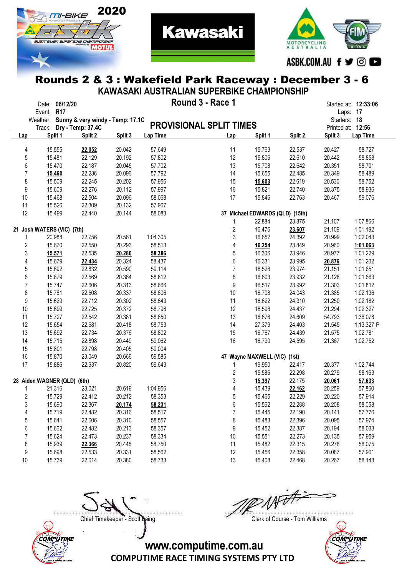



**Kawasaki** 

| KAWASAKI AUSTRALIAN SUPERBIKE CHAMPIONSHIP |                                                            |                                  |         |          |                                |                                 |         |              |                   |  |  |  |  |  |
|--------------------------------------------|------------------------------------------------------------|----------------------------------|---------|----------|--------------------------------|---------------------------------|---------|--------------|-------------------|--|--|--|--|--|
|                                            | Round 3 - Race 1<br>Date: 06/12/20<br>Started at: 12:33:06 |                                  |         |          |                                |                                 |         |              |                   |  |  |  |  |  |
|                                            | Event: R17                                                 |                                  |         |          |                                |                                 |         |              | Laps: 17          |  |  |  |  |  |
|                                            | Weather:                                                   | Sunny & very windy - Temp: 17.1C |         |          |                                |                                 |         | Starters: 18 |                   |  |  |  |  |  |
|                                            | Track:                                                     | Dry - Temp: 37.4C                |         |          | <b>PROVISIONAL SPLIT TIMES</b> |                                 |         |              | Printed at: 12:56 |  |  |  |  |  |
| Lap                                        | Split 1                                                    | Split 2                          | Split 3 | Lap Time | Lap                            | Split 1                         | Split 2 | Split 3      | Lap Time          |  |  |  |  |  |
|                                            |                                                            |                                  |         |          |                                |                                 |         |              |                   |  |  |  |  |  |
| 4                                          | 15.555                                                     | 22.052                           | 20.042  | 57.649   | 11                             | 15.763                          | 22.537  | 20.427       | 58.727            |  |  |  |  |  |
| 5                                          | 15.481                                                     | 22.129                           | 20.192  | 57.802   | 12                             | 15.806                          | 22.610  | 20.442       | 58.858            |  |  |  |  |  |
| 6                                          | 15.470                                                     | 22.187                           | 20.045  | 57.702   | 13                             | 15.708                          | 22.642  | 20.351       | 58.701            |  |  |  |  |  |
| 7                                          | 15.460                                                     | 22.236                           | 20.096  | 57.792   | 14                             | 15.655                          | 22.485  | 20.349       | 58.489            |  |  |  |  |  |
| 8                                          | 15.509                                                     | 22.245                           | 20.202  | 57.956   | 15                             | 15.603                          | 22.619  | 20.530       | 58.752            |  |  |  |  |  |
| $\boldsymbol{9}$                           | 15.609                                                     | 22.276                           | 20.112  | 57.997   | 16                             | 15.821                          | 22.740  | 20.375       | 58.936            |  |  |  |  |  |
| 10                                         | 15.468                                                     | 22.504                           | 20.096  | 58.068   | 17                             | 15.846                          | 22.763  | 20.467       | 59.076            |  |  |  |  |  |
| 11                                         | 15.526                                                     | 22.309                           | 20.132  | 57.967   |                                |                                 |         |              |                   |  |  |  |  |  |
| 12                                         | 15.499                                                     | 22.440                           | 20.144  | 58.083   |                                | 37 Michael EDWARDS (QLD) (15th) |         |              |                   |  |  |  |  |  |
|                                            |                                                            |                                  |         |          | $\mathbf 1$                    | 22.884                          | 23.875  | 21.107       | 1:07.866          |  |  |  |  |  |
|                                            | 21 Josh WATERS (VIC) (7th)                                 |                                  |         |          | $\sqrt{2}$                     | 16.476                          | 23.607  | 21.109       | 1:01.192          |  |  |  |  |  |
| 1                                          | 20.988                                                     | 22.756                           | 20.561  | 1:04.305 | 3                              | 16.652                          | 24.392  | 20.999       | 1:02.043          |  |  |  |  |  |
| 2                                          | 15.670                                                     | 22.550                           | 20.293  | 58.513   | 4                              | 16.254                          | 23.849  | 20.960       | 1:01.063          |  |  |  |  |  |
| 3                                          | 15.571                                                     | 22.535                           | 20.280  | 58.386   | $\mathbf 5$                    | 16.306                          | 23.946  | 20.977       | 1:01.229          |  |  |  |  |  |
| 4                                          | 15.679                                                     | 22.434                           | 20.324  | 58.437   | $6\,$                          | 16.331                          | 23.995  | 20.876       | 1:01.202          |  |  |  |  |  |
| 5                                          | 15.692                                                     | 22.832                           | 20.590  | 59.114   | $\overline{7}$                 | 16.526                          | 23.974  | 21.151       | 1:01.651          |  |  |  |  |  |
| 6                                          | 15.879                                                     | 22.569                           | 20.364  | 58.812   | 8                              | 16.603                          | 23.932  | 21.128       | 1:01.663          |  |  |  |  |  |
| $\overline{7}$                             | 15.747                                                     | 22.606                           | 20.313  | 58.666   | 9                              | 16.517                          | 23.992  | 21.303       | 1:01.812          |  |  |  |  |  |
| 8                                          | 15.761                                                     | 22.508                           | 20.337  | 58.606   | 10                             | 16.708                          | 24.043  | 21.385       | 1:02.136          |  |  |  |  |  |
| 9                                          | 15.629                                                     | 22.712                           | 20.302  | 58.643   | 11                             | 16.622                          | 24.310  | 21.250       | 1:02.182          |  |  |  |  |  |
| 10                                         | 15.699                                                     | 22.725                           | 20.372  | 58.796   | 12                             | 16.596                          | 24.437  | 21.294       | 1:02.327          |  |  |  |  |  |
| 11                                         | 15.727                                                     | 22.542                           | 20.381  | 58.650   | 13                             | 16.676                          | 24.609  | 54.793       | 1:36.078          |  |  |  |  |  |
| 12                                         | 15.654                                                     | 22.681                           | 20.418  | 58.753   | 14                             | 27.379                          | 24.403  | 21.545       | 1:13.327 P        |  |  |  |  |  |
| 13                                         | 15.692                                                     | 22.734                           | 20.376  | 58.802   | 15                             | 16.767                          | 24.439  | 21.575       | 1:02.781          |  |  |  |  |  |
| 14                                         | 15.715                                                     | 22.898                           | 20.449  | 59.062   | 16                             | 16.790                          | 24.595  | 21.367       | 1:02.752          |  |  |  |  |  |
| 15                                         | 15.801                                                     | 22.798                           | 20.405  | 59.004   |                                |                                 |         |              |                   |  |  |  |  |  |
| 16                                         | 15.870                                                     | 23.049                           | 20.666  | 59.585   |                                | 47 Wayne MAXWELL (VIC) (1st)    |         |              |                   |  |  |  |  |  |
| 17                                         | 15.886                                                     | 22.937                           | 20.820  | 59.643   | 1                              | 19.950                          | 22.417  | 20.377       | 1:02.744          |  |  |  |  |  |
|                                            |                                                            |                                  |         |          | $\sqrt{2}$                     | 15.586                          | 22.298  | 20.279       | 58.163            |  |  |  |  |  |
|                                            | 28 Aiden WAGNER (QLD) (6th)                                |                                  |         |          | 3                              | 15.397                          | 22.175  | 20.061       | 57.633            |  |  |  |  |  |
| 1                                          | 21.316                                                     | 23.021                           | 20.619  | 1:04.956 | 4                              | 15.439                          | 22.162  | 20.259       | 57.860            |  |  |  |  |  |
| 2                                          | 15.729                                                     | 22.412                           | 20.212  | 58.353   | 5                              | 15.465                          | 22.229  | 20.220       | 57.914            |  |  |  |  |  |
|                                            | 15.690                                                     | 22.367                           | 20.174  |          |                                | 15.562                          | 22.288  | 20.208       | 58.058            |  |  |  |  |  |
| 3                                          |                                                            |                                  |         | 58.231   | 6<br>$\overline{7}$            |                                 |         |              |                   |  |  |  |  |  |
| 4                                          | 15.719                                                     | 22.482                           | 20.316  | 58.517   |                                | 15.445                          | 22.190  | 20.141       | 57.776            |  |  |  |  |  |
| 5                                          | 15.641                                                     | 22.606                           | 20.310  | 58.557   | 8                              | 15.483                          | 22.396  | 20.095       | 57.974            |  |  |  |  |  |
| 6                                          | 15.662                                                     | 22.482                           | 20.213  | 58.357   | 9                              | 15.452                          | 22.387  | 20.194       | 58.033            |  |  |  |  |  |
| 7                                          | 15.624                                                     | 22.473                           | 20.237  | 58.334   | 10                             | 15.551                          | 22.273  | 20.135       | 57.959            |  |  |  |  |  |
| 8                                          | 15.939                                                     | 22.366                           | 20.445  | 58.750   | 11                             | 15.482                          | 22.315  | 20.278       | 58.075            |  |  |  |  |  |
| 9                                          | 15.698                                                     | 22.533                           | 20.331  | 58.562   | 12                             | 15.456                          | 22.358  | 20.087       | 57.901            |  |  |  |  |  |

COMPUTIME

....................................................................................... .......................................................................................

Chief Timekeeper - Scott Laing Chief Timekeeper - Scott Laing



COMPUTIME RACE TIMING SYSTEMS PTY LTD www.computime.com.au

10 15.739 22.614 20.380 58.733 13 15.408 22.468 20.267 58.143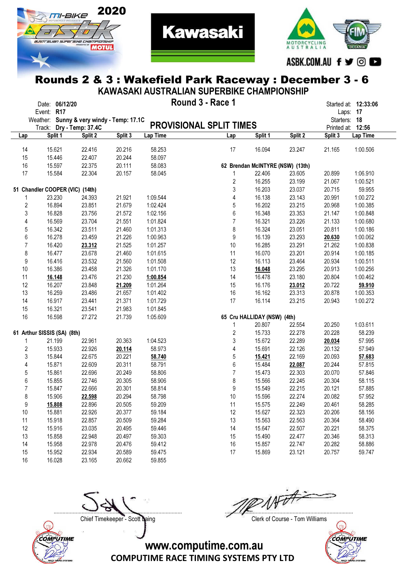



**Kawasaki** 

| KAWASAKI AUSTRALIAN SUPERBIKE CHAMPIONSHIP |                                           |         |         |          |                                |                                  |         |              |                      |  |  |  |  |
|--------------------------------------------|-------------------------------------------|---------|---------|----------|--------------------------------|----------------------------------|---------|--------------|----------------------|--|--|--|--|
|                                            | Date: 06/12/20                            |         |         |          | Round 3 - Race 1               |                                  |         |              | Started at: 12:33:06 |  |  |  |  |
|                                            | Event: R17                                |         |         |          |                                |                                  |         |              | Laps: 17             |  |  |  |  |
|                                            | Weather: Sunny & very windy - Temp: 17.1C |         |         |          |                                |                                  |         | Starters: 18 |                      |  |  |  |  |
|                                            | Track: Dry - Temp: 37.4C                  |         |         |          | <b>PROVISIONAL SPLIT TIMES</b> |                                  |         |              | Printed at: 12:56    |  |  |  |  |
| Lap                                        | Split 1                                   | Split 2 | Split 3 | Lap Time | Lap                            | Split 1                          | Split 2 | Split 3      | Lap Time             |  |  |  |  |
| 14                                         | 15.621                                    | 22.416  | 20.216  | 58.253   | 17                             | 16.094                           | 23.247  | 21.165       | 1:00.506             |  |  |  |  |
| 15                                         | 15.446                                    | 22.407  | 20.244  | 58.097   |                                |                                  |         |              |                      |  |  |  |  |
| 16                                         | 15.597                                    | 22.375  | 20.111  | 58.083   |                                | 62 Brendan McINTYRE (NSW) (13th) |         |              |                      |  |  |  |  |
| 17                                         | 15.584                                    | 22.304  | 20.157  | 58.045   | 1                              | 22.406                           | 23.605  | 20.899       | 1:06.910             |  |  |  |  |
|                                            |                                           |         |         |          | 2                              | 16.255                           | 23.199  | 21.067       | 1:00.521             |  |  |  |  |
|                                            | 51 Chandler COOPER (VIC) (14th)           |         |         |          | 3                              | 16.203                           | 23.037  | 20.715       | 59.955               |  |  |  |  |
|                                            | 23.230                                    | 24.393  | 21.921  | 1:09.544 | 4                              | 16.138                           | 23.143  | 20.991       | 1:00.272             |  |  |  |  |
| $\overline{\mathbf{c}}$                    | 16.894                                    | 23.851  | 21.679  | 1:02.424 | 5                              | 16.202                           | 23.215  | 20.968       | 1:00.385             |  |  |  |  |
|                                            | 16.828                                    |         |         | 1:02.156 | 6                              |                                  |         |              | 1:00.848             |  |  |  |  |
| $\sqrt{3}$                                 |                                           | 23.756  | 21.572  | 1:01.824 | $\overline{7}$                 | 16.348                           | 23.353  | 21.147       |                      |  |  |  |  |
| 4                                          | 16.569                                    | 23.704  | 21.551  |          |                                | 16.321                           | 23.226  | 21.133       | 1:00.680             |  |  |  |  |
| $\mathbf 5$                                | 16.342                                    | 23.511  | 21.460  | 1:01.313 | 8                              | 16.324                           | 23.051  | 20.811       | 1:00.186             |  |  |  |  |
| 6                                          | 16.278                                    | 23.459  | 21.226  | 1:00.963 | 9                              | 16.139                           | 23.293  | 20.630       | 1:00.062             |  |  |  |  |
| $\overline{7}$                             | 16.420                                    | 23.312  | 21.525  | 1:01.257 | 10                             | 16.285                           | 23.291  | 21.262       | 1:00.838             |  |  |  |  |
| 8                                          | 16.477                                    | 23.678  | 21.460  | 1:01.615 | 11                             | 16.070                           | 23.201  | 20.914       | 1:00.185             |  |  |  |  |
| 9                                          | 16.416                                    | 23.532  | 21.560  | 1:01.508 | 12                             | 16.113                           | 23.464  | 20.934       | 1:00.511             |  |  |  |  |
| 10                                         | 16.386                                    | 23.458  | 21.326  | 1:01.170 | 13                             | 16.048                           | 23.295  | 20.913       | 1:00.256             |  |  |  |  |
| 11                                         | 16.148                                    | 23.476  | 21.230  | 1:00.854 | 14                             | 16.478                           | 23.180  | 20.804       | 1:00.462             |  |  |  |  |
| 12                                         | 16.207                                    | 23.848  | 21.209  | 1:01.264 | 15                             | 16.176                           | 23.012  | 20.722       | 59.910               |  |  |  |  |
| 13                                         | 16.259                                    | 23.486  | 21.657  | 1:01.402 | 16                             | 16.162                           | 23.313  | 20.878       | 1:00.353             |  |  |  |  |
| 14                                         | 16.917                                    | 23.441  | 21.371  | 1:01.729 | 17                             | 16.114                           | 23.215  | 20.943       | 1:00.272             |  |  |  |  |
| 15                                         | 16.321                                    | 23.541  | 21.983  | 1:01.845 |                                |                                  |         |              |                      |  |  |  |  |
| 16                                         | 16.598                                    | 27.272  | 21.739  | 1:05.609 |                                | 65 Cru HALLIDAY (NSW) (4th)      |         |              |                      |  |  |  |  |
|                                            |                                           |         |         |          | 1                              | 20.807                           | 22.554  | 20.250       | 1:03.611             |  |  |  |  |
|                                            | 61 Arthur SISSIS (SA) (8th)               |         |         |          | 2                              | 15.733                           | 22.278  | 20.228       | 58.239               |  |  |  |  |
| 1                                          | 21.199                                    | 22.961  | 20.363  | 1:04.523 | 3                              | 15.672                           | 22.289  | 20.034       | 57.995               |  |  |  |  |
| $\overline{\mathbf{c}}$                    | 15.933                                    | 22.926  | 20.114  | 58.973   | 4                              | 15.691                           | 22.126  | 20.132       | 57.949               |  |  |  |  |
| $\sqrt{3}$                                 | 15.844                                    | 22.675  | 20.221  | 58.740   | 5                              | 15.421                           | 22.169  | 20.093       | 57.683               |  |  |  |  |
| 4                                          | 15.871                                    | 22.609  | 20.311  | 58.791   | 6                              | 15.484                           | 22.087  | 20.244       | 57.815               |  |  |  |  |
| $\mathbf 5$                                | 15.861                                    | 22.696  | 20.249  | 58.806   | $\overline{7}$                 | 15.473                           | 22.303  | 20.070       | 57.846               |  |  |  |  |
| 6                                          | 15.855                                    | 22.746  | 20.305  | 58.906   | 8                              | 15.566                           | 22.245  | 20.304       | 58.115               |  |  |  |  |
| $\overline{7}$                             | 15.847                                    | 22.666  | 20.301  | 58.814   | 9                              | 15.549                           | 22.215  | 20.121       | 57.885               |  |  |  |  |
| 8                                          | 15.906                                    | 22.598  | 20.294  | 58.798   | 10                             | 15.596                           | 22.274  | 20.082       | 57.952               |  |  |  |  |
| 9                                          | 15.808                                    | 22.896  | 20.505  | 59.209   | 11                             | 15.575                           | 22.249  | 20.461       | 58.285               |  |  |  |  |
| 10                                         | 15.881                                    | 22.926  | 20.377  | 59.184   | 12                             | 15.627                           | 22.323  | 20.206       | 58.156               |  |  |  |  |
| 11                                         | 15.918                                    | 22.857  | 20.509  | 59.284   | 13                             | 15.563                           | 22.563  | 20.364       | 58.490               |  |  |  |  |
| 12                                         | 15.916                                    | 23.035  | 20.495  | 59.446   | 14                             | 15.647                           | 22.507  | 20.221       | 58.375               |  |  |  |  |
| 13                                         | 15.858                                    | 22.948  | 20.497  | 59.303   | 15                             | 15.490                           | 22.477  | 20.346       | 58.313               |  |  |  |  |
| 14                                         | 15.958                                    | 22.978  | 20.476  | 59.412   | 16                             | 15.857                           | 22.747  | 20.282       | 58.886               |  |  |  |  |
| 15                                         | 15.952                                    | 22.934  | 20.589  | 59.475   | 17                             | 15.869                           | 23.121  | 20.757       | 59.747               |  |  |  |  |
| 16                                         | 16.028                                    | 23.165  | 20.662  | 59.855   |                                |                                  |         |              |                      |  |  |  |  |



**INT** ....................................................................................... .......................................................................................

Chief Timekeeper - Scott Laing Chief Timekeeper - Scott Laing

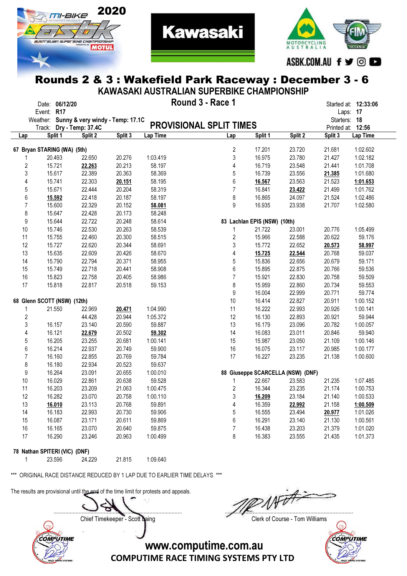



**Kawasaki** 

|                  | KAWASAKI AUSTRALIAN SUPERBIKE CHAMPIONSHIP |                |                                           |         |          |                                |                              |                                   |              |                      |  |  |  |  |
|------------------|--------------------------------------------|----------------|-------------------------------------------|---------|----------|--------------------------------|------------------------------|-----------------------------------|--------------|----------------------|--|--|--|--|
|                  |                                            | Date: 06/12/20 |                                           |         |          | Round 3 - Race 1               |                              |                                   |              | Started at: 12:33:06 |  |  |  |  |
|                  | Event: R17                                 |                |                                           |         |          |                                |                              |                                   |              | Laps: 17             |  |  |  |  |
|                  |                                            |                | Weather: Sunny & very windy - Temp: 17.1C |         |          |                                |                              |                                   | Starters: 18 |                      |  |  |  |  |
|                  | Track:                                     |                | Dry - Temp: 37.4C                         |         |          | <b>PROVISIONAL SPLIT TIMES</b> |                              |                                   |              | Printed at: 12:56    |  |  |  |  |
| Lap              |                                            | Split 1        | Split 2                                   | Split 3 | Lap Time | Lap                            | Split 1                      | Split 2                           | Split 3      | Lap Time             |  |  |  |  |
|                  | 67 Bryan STARING (WA) (5th)                |                |                                           |         |          | 2                              | 17.201                       | 23.720                            | 21.681       | 1:02.602             |  |  |  |  |
| 1                |                                            | 20.493         | 22.650                                    | 20.276  | 1:03.419 | 3                              | 16.975                       | 23.780                            | 21.427       | 1:02.182             |  |  |  |  |
| 2                |                                            | 15.721         | 22.263                                    | 20.213  | 58.197   | 4                              | 16.719                       | 23.548                            | 21.441       | 1:01.708             |  |  |  |  |
| 3                |                                            | 15.617         | 22.389                                    | 20.363  | 58.369   | 5                              | 16.739                       | 23.556                            | 21.385       | 1:01.680             |  |  |  |  |
| 4                |                                            | 15.741         | 22.303                                    | 20.151  | 58.195   | 6                              | 16.567                       | 23.563                            | 21.523       | 1:01.653             |  |  |  |  |
| 5                |                                            | 15.671         | 22.444                                    | 20.204  | 58.319   | $\overline{7}$                 | 16.841                       | 23.422                            | 21.499       | 1:01.762             |  |  |  |  |
| 6                |                                            | 15.592         | 22.418                                    | 20.187  | 58.197   | 8                              | 16.865                       | 24.097                            | 21.524       | 1:02.486             |  |  |  |  |
| $\overline{7}$   |                                            | 15.600         | 22.329                                    | 20.152  | 58.081   | 9                              | 16.935                       | 23.938                            | 21.707       | 1:02.580             |  |  |  |  |
| 8                |                                            | 15.647         | 22.428                                    | 20.173  | 58.248   |                                |                              |                                   |              |                      |  |  |  |  |
| 9                |                                            | 15.644         | 22.722                                    | 20.248  | 58.614   |                                | 83 Lachlan EPIS (NSW) (10th) |                                   |              |                      |  |  |  |  |
| 10               |                                            | 15.746         | 22.530                                    | 20.263  | 58.539   | 1                              | 21.722                       | 23.001                            | 20.776       | 1:05.499             |  |  |  |  |
| 11               |                                            | 15.755         | 22.460                                    | 20.300  | 58.515   | $\overline{\mathbf{c}}$        | 15.966                       | 22.588                            | 20.622       | 59.176               |  |  |  |  |
| 12               |                                            | 15.727         | 22.620                                    | 20.344  | 58.691   | 3                              | 15.772                       | 22.652                            | 20.573       | 58.997               |  |  |  |  |
| 13               |                                            | 15.635         | 22.609                                    | 20.426  | 58.670   | 4                              | 15.725                       | 22.544                            | 20.768       | 59.037               |  |  |  |  |
| 14               |                                            | 15.790         | 22.794                                    | 20.371  | 58.955   | 5                              | 15.836                       | 22.656                            | 20.679       | 59.171               |  |  |  |  |
| 15               |                                            | 15.749         | 22.718                                    | 20.441  | 58.908   | 6                              | 15.895                       | 22.875                            | 20.766       | 59.536               |  |  |  |  |
| 16               |                                            | 15.823         | 22.758                                    | 20.405  | 58.986   | $\overline{7}$                 | 15.921                       | 22.830                            | 20.758       | 59.509               |  |  |  |  |
| 17               |                                            | 15.818         | 22.817                                    | 20.518  | 59.153   | 8                              | 15.959                       | 22.860                            | 20.734       | 59.553               |  |  |  |  |
|                  |                                            |                |                                           |         |          | 9                              | 16.004                       | 22.999                            | 20.771       | 59.774               |  |  |  |  |
|                  | 68 Glenn SCOTT (NSW) (12th)                |                |                                           |         |          | 10                             | 16.414                       | 22.827                            | 20.911       | 1:00.152             |  |  |  |  |
| 1                |                                            | 21.550         | 22.969                                    | 20.471  | 1:04.990 | 11                             | 16.222                       | 22.993                            | 20.926       | 1:00.141             |  |  |  |  |
| $\boldsymbol{2}$ |                                            |                | 44.428                                    | 20.944  | 1:05.372 | 12                             | 16.130                       | 22.893                            | 20.921       | 59.944               |  |  |  |  |
| 3                |                                            | 16.157         | 23.140                                    | 20.590  | 59.887   | 13                             | 16.179                       | 23.096                            | 20.782       | 1:00.057             |  |  |  |  |
| 4                |                                            | 16.121         | 22.679                                    | 20.502  | 59.302   | 14                             | 16.083                       | 23.011                            | 20.846       | 59.940               |  |  |  |  |
| 5                |                                            | 16.205         | 23.255                                    | 20.681  | 1:00.141 | 15                             | 15.987                       | 23.050                            | 21.109       | 1:00.146             |  |  |  |  |
| 6                |                                            | 16.214         | 22.937                                    | 20.749  | 59.900   | 16                             | 16.075                       | 23.117                            | 20.985       | 1:00.177             |  |  |  |  |
| $\overline{7}$   |                                            | 16.160         | 22.855                                    | 20.769  | 59.784   | 17                             | 16.227                       | 23.235                            | 21.138       | 1:00.600             |  |  |  |  |
| 8                |                                            | 16.180         | 22.934                                    | 20.523  | 59.637   |                                |                              |                                   |              |                      |  |  |  |  |
| $\boldsymbol{9}$ |                                            | 16.264         | 23.091                                    | 20.655  | 1:00.010 |                                |                              | 88 Giuseppe SCARCELLA (NSW) (DNF) |              |                      |  |  |  |  |
| 10               |                                            | 16.029         | 22.861                                    | 20.638  | 59.528   | 1                              | 22.667                       | 23.583                            | 21.235       | 1:07.485             |  |  |  |  |
| 11               |                                            | 16.203         | 23.209                                    | 21.063  | 1:00.475 | $\overline{c}$                 | 16.344                       | 23.235                            | 21.174       | 1:00.753             |  |  |  |  |
| 12               |                                            | 16.282         | 23.070                                    | 20.758  | 1:00.110 | 3                              | 16.209                       | 23.184                            | 21.140       | 1:00.533             |  |  |  |  |
| 13               |                                            | 16.010         | 23.113                                    | 20.768  | 59.891   | 4                              | 16.359                       | 22.992                            | 21.158       | 1:00.509             |  |  |  |  |
| 14               |                                            | 16.183         | 22.993                                    | 20.730  | 59.906   | 5                              | 16.555                       | 23.494                            | 20.977       | 1:01.026             |  |  |  |  |
| 15               |                                            | 16.087         | 23.171                                    | 20.611  | 59.869   | 6                              | 16.291                       | 23.140                            | 21.130       | 1:00.561             |  |  |  |  |
| 16               |                                            | 16.165         | 23.070                                    | 20.640  | 59.875   | $\overline{7}$                 | 16.438                       | 23.203                            | 21.379       | 1:01.020             |  |  |  |  |
| 17               |                                            | 16.290         | 23.246                                    | 20.963  | 1:00.499 | 8                              | 16.383                       | 23.555                            | 21.435       | 1:01.373             |  |  |  |  |
|                  | 78 Nathan SPITERI (VIC) (DNF)              |                |                                           |         |          |                                |                              |                                   |              |                      |  |  |  |  |

\*\*\* ORIGINAL RACE DISTANCE REDUCED BY 1 LAP DUE TO EARLIER TIME DELAYS \*\*\*

The results are provisional until the end of the time limit for protests and appeals.

COMPUTIME

1 23.596 24.229 21.815 1:09.640

Chief Timekeeper - Scott Laing Chief Timekeeper - Scott Laing

....................................................................................... .......................................................................................



www.computime.com.au

COMPUTIME RACE TIMING SYSTEMS PTY LTD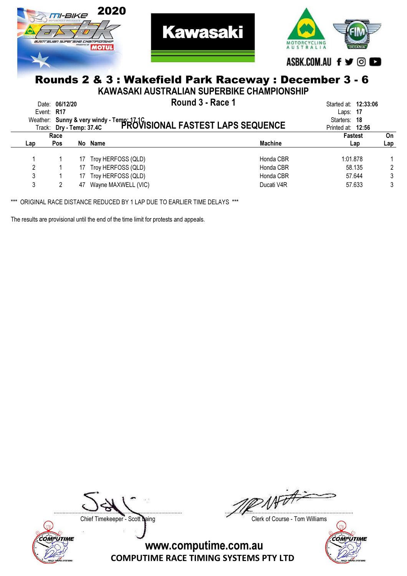



**Kawasaki** 

KAWASAKI AUSTRALIAN SUPERBIKE CHAMPIONSHIP

|     | Date: 06/12/20<br>Event: $R17$ |    | Round 3 - Race 1<br>Weather: Sunny & very windy - Temp: 17.1C<br>Trock: Dry - Temp: 37.4C PROVISIONAL FASTEST LAPS SEQUENCE |                | Started at: <b>12:33:06</b><br>Laps: $17$<br>Starters: 18<br>Printed at: 12:56 |     |
|-----|--------------------------------|----|-----------------------------------------------------------------------------------------------------------------------------|----------------|--------------------------------------------------------------------------------|-----|
|     | Race                           |    |                                                                                                                             |                | <b>Fastest</b>                                                                 | On  |
| Lap | <b>Pos</b>                     |    | No Name                                                                                                                     | <b>Machine</b> | Lap                                                                            | Lap |
|     |                                | 17 | Troy HERFOSS (QLD)                                                                                                          | Honda CBR      | 1:01.878                                                                       |     |
| 2   |                                | 17 | Troy HERFOSS (QLD)                                                                                                          | Honda CBR      | 58.135                                                                         |     |
| 3   |                                | 17 | Troy HERFOSS (QLD)                                                                                                          | Honda CBR      | 57.644                                                                         |     |
| 3   |                                |    | 47 Wayne MAXWELL (VIC)                                                                                                      | Ducati V4R     | 57.633                                                                         | 3   |

\*\*\* ORIGINAL RACE DISTANCE REDUCED BY 1 LAP DUE TO EARLIER TIME DELAYS \*\*\*

The results are provisional until the end of the time limit for protests and appeals.



Not A ....................................................................................... .......................................................................................

Chief Timekeeper - Scott Laing Chief Timekeeper - Scott Laing

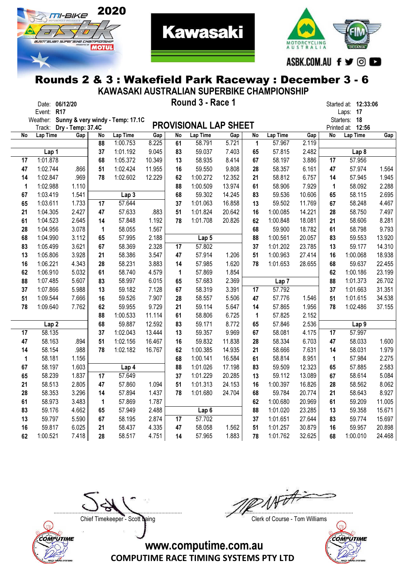



**Kawasaki** 

| KAWASAKI AUSTRALIAN SUPERBIKE CHAMPIONSHIP |                   |                          |       |          |                                  |              |             |                              |              |              |                    |              |              |                      |        |
|--------------------------------------------|-------------------|--------------------------|-------|----------|----------------------------------|--------------|-------------|------------------------------|--------------|--------------|--------------------|--------------|--------------|----------------------|--------|
|                                            |                   | Date: 06/12/20           |       |          |                                  |              |             | Round 3 - Race 1             |              |              |                    |              |              | Started at: 12:33:06 |        |
|                                            | Event: R17        |                          |       |          |                                  |              |             |                              |              |              |                    |              |              | Laps: 17             |        |
|                                            | Weather:          |                          |       |          | Sunny & very windy - Temp: 17.1C |              |             | <b>PROVISIONAL LAP SHEET</b> |              |              |                    |              |              | Starters: 18         |        |
|                                            |                   | Track: Dry - Temp: 37.4C |       |          |                                  |              |             |                              |              |              |                    |              | Printed at:  | 12:56                |        |
| No                                         | Lap Time          |                          | Gap   | No<br>88 | Lap Time<br>1:00.753             | Gap<br>8.225 | No<br>61    | Lap Time<br>58.791           | Gap<br>5.721 | No           | Lap Time<br>57.967 | Gap<br>2.119 | No           | Lap Time             | Gap    |
|                                            |                   |                          |       | 37       | 1:01.192                         | 9.045        | 83          | 59.037                       | 7.403        | 1<br>65      | 57.815             | 2.482        |              | Lap <sub>8</sub>     |        |
| 17                                         | Lap 1<br>1:01.878 |                          |       | 68       | 1:05.372                         | 10.349       | 13          | 58.935                       | 8.414        | 67           | 58.197             | 3.886        | 17           | 57.956               |        |
| 47                                         | 1:02.744          |                          | .866  | 51       | 1:02.424                         | 11.955       | 16          | 59.550                       | 9.808        | 28           | 58.357             | 6.161        | 47           | 57.974               | 1.564  |
| 14                                         | 1:02.847          |                          | .969  | 78       | 1:02.602                         | 12.229       | 62          | 1:00.272                     | 12.352       | 21           | 58.812             | 6.757        | 14           | 57.945               | 1.945  |
| $\mathbf 1$                                | 1:02.988          |                          | 1.110 |          |                                  |              | 88          | 1:00.509                     | 13.974       | 61           | 58.906             | 7.929        | $\mathbf{1}$ | 58.092               | 2.288  |
| 67                                         | 1:03.419          |                          | 1.541 |          | Lap <sub>3</sub>                 |              | 68          | 59.302                       | 14.245       | 83           | 59.536             | 10.606       | 65           | 58.115               | 2.695  |
| 65                                         | 1:03.611          |                          | 1.733 | 17       | 57.644                           |              | 37          | 1:01.063                     | 16.858       | 13           | 59.502             | 11.769       | 67           | 58.248               | 4.467  |
| 21                                         | 1:04.305          |                          | 2.427 | 47       | 57.633                           | .883         | 51          | 1:01.824                     | 20.642       | 16           | 1:00.085           | 14.221       | 28           | 58.750               | 7.497  |
| 61                                         | 1:04.523          |                          | 2.645 | 14       | 57.848                           | 1.192        | 78          | 1:01.708                     | 20.826       | 62           | 1:00.848           | 18.081       | 21           | 58.606               | 8.281  |
| 28                                         | 1:04.956          |                          | 3.078 | 1        | 58.055                           | 1.567        |             |                              |              | 68           | 59.900             | 18.782       | 61           | 58.798               | 9.793  |
| 68                                         | 1:04.990          |                          | 3.112 | 65       | 57.995                           | 2.188        |             | Lap 5                        |              | 88           | 1:00.561           | 20.057       | 83           | 59.553               | 13.920 |
| 83                                         | 1:05.499          |                          | 3.621 | 67       | 58.369                           | 2.328        | 17          | 57.802                       |              | 37           | 1:01.202           | 23.785       | 13           | 59.177               | 14.310 |
| 13                                         | 1:05.806          |                          | 3.928 | 21       | 58.386                           | 3.547        | 47          | 57.914                       | 1.206        | 51           | 1:00.963           | 27.414       | 16           | 1:00.068             | 18.938 |
| 16                                         | 1:06.221          |                          | 4.343 | 28       | 58.231                           | 3.883        | 14          | 57.985                       | 1.620        | 78           | 1:01.653           | 28.655       | 68           | 59.637               | 22.455 |
| 62                                         | 1:06.910          |                          | 5.032 | 61       | 58.740                           | 4.579        | $\mathbf 1$ | 57.869                       | 1.854        |              |                    |              | 62           | 1:00.186             | 23.199 |
| 88                                         | 1:07.485          |                          | 5.607 | 83       | 58.997                           | 6.015        | 65          | 57.683                       | 2.369        |              | Lap <sub>7</sub>   |              | 88           | 1:01.373             | 26.702 |
| 37                                         | 1:07.866          |                          | 5.988 | 13       | 59.182                           | 7.128        | 67          | 58.319                       | 3.391        | 17           | 57.792             |              | 37           | 1:01.663             | 31.351 |
| 51                                         | 1:09.544          |                          | 7.666 | 16       | 59.526                           | 7.907        | 28          | 58.557                       | 5.506        | 47           | 57.776             | 1.546        | 51           | 1:01.615             | 34.538 |
| 78                                         | 1:09.640          |                          | 7.762 | 62       | 59.955                           | 9.729        | 21          | 59.114                       | 5.647        | 14           | 57.865             | 1.956        | 78           | 1:02.486             | 37.155 |
|                                            |                   |                          |       | 88       | 1:00.533                         | 11.114       | 61          | 58.806                       | 6.725        | $\mathbf{1}$ | 57.825             | 2.152        |              |                      |        |
|                                            | Lap <sub>2</sub>  |                          |       | 68       | 59.887                           | 12.592       | 83          | 59.171                       | 8.772        | 65           | 57.846             | 2.536        |              | Lap <sub>9</sub>     |        |
| 17                                         | 58.135            |                          |       | 37       | 1:02.043                         | 13.444       | 13          | 59.357                       | 9.969        | 67           | 58.081             | 4.175        | 17           | 57.997               |        |
| 47                                         | 58.163            |                          | .894  | 51       | 1:02.156                         | 16.467       | 16          | 59.832                       | 11.838       | 28           | 58.334             | 6.703        | 47           | 58.033               | 1.600  |
| 14                                         | 58.154            |                          | .988  | 78       | 1:02.182                         | 16.767       | 62          | 1:00.385                     | 14.935       | 21           | 58.666             | 7.631        | 14           | 58.031               | 1.979  |
| 1                                          | 58.181            |                          | 1.156 |          |                                  |              | 68          | 1:00.141                     | 16.584       | 61           | 58.814             | 8.951        | 1            | 57.984               | 2.275  |
| 67                                         | 58.197            |                          | 1.603 |          | Lap 4                            |              | 88          | 1:01.026                     | 17.198       | 83           | 59.509             | 12.323       | 65           | 57.885               | 2.583  |
| 65                                         | 58.239            |                          | 1.837 | 17       | 57.649                           |              | 37          | 1:01.229                     | 20.285       | 13           | 59.112             | 13.089       | 67           | 58.614               | 5.084  |
| 21                                         | 58.513            |                          | 2.805 | 47       | 57.860                           | 1.094        | 51          | 1:01.313                     | 24.153       | 16           | 1:00.397           | 16.826       | 28           | 58.562               | 8.062  |
| 28                                         | 58.353            |                          | 3.296 | 14       | 57.894                           | 1.437        | 78          | 1:01.680                     | 24.704       | 68           | 59.784             | 20.774       | 21           | 58.643               | 8.927  |
| 61                                         | 58.973            |                          | 3.483 | 1        | 57.869                           | 1.787        |             |                              |              | 62           | 1:00.680           | 20.969       | 61           | 59.209               | 11.005 |
| 83                                         | 59.176            |                          | 4.662 | 65       | 57.949                           | 2.488        |             | Lap <sub>6</sub>             |              | 88           | 1:01.020           | 23.285       | 13           | 59.358               | 15.671 |
| 13                                         | 59.797            |                          | 5.590 | 67       | 58.195                           | 2.874        | 17          | 57.702                       |              | 37           | 1:01.651           | 27.644       | 83           | 59.774               | 15.697 |
| 16                                         | 59.817            |                          | 6.025 | 21       | 58.437                           | 4.335        | 47          | 58.058                       | 1.562        | 51           | 1:01.257           | 30.879       | 16           | 59.957               | 20.898 |
| 62                                         | 1:00.521          |                          | 7.418 | 28       | 58.517                           | 4.751        | 14          | 57.965                       | 1.883        | 78           | 1:01.762           | 32.625       | 68           | 1:00.010             | 24.468 |

COMPUTIME

....................................................................................... .......................................................................................

Chief Timekeeper - Scott Laing Chief Timekeeper - Scott Laing

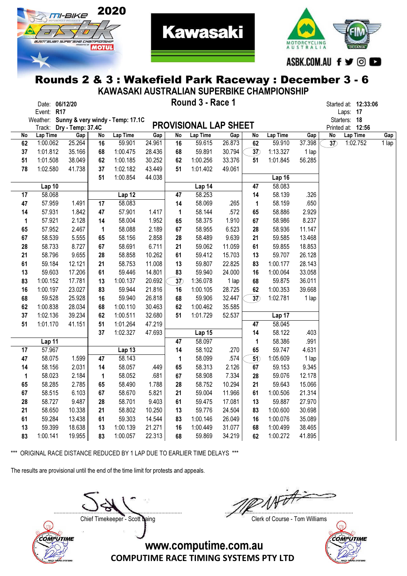



#### Rounds 2 & 3 : Wakefield Park Raceway : December 3 - 6 KAWASAKI AUSTRALIAN SUPERBIKE CHAMPIONSHIP

**Kawasaki** 

|             |                |                          |          |                                           |        |           |                              |               |                 | <u> KAJANI AUJI INALIAN JUFLINDINL VIIAMIFIUNJI III</u> |               |                 |                               |                      |              |
|-------------|----------------|--------------------------|----------|-------------------------------------------|--------|-----------|------------------------------|---------------|-----------------|---------------------------------------------------------|---------------|-----------------|-------------------------------|----------------------|--------------|
|             | Date: 06/12/20 |                          |          |                                           |        |           | Round 3 - Race 1             |               |                 |                                                         |               |                 |                               | Started at: 12:33:06 |              |
|             | Event: R17     |                          |          |                                           |        |           |                              |               |                 |                                                         |               |                 | Laps: 17                      |                      |              |
|             |                |                          |          | Weather: Sunny & very windy - Temp: 17.1C |        |           | <b>PROVISIONAL LAP SHEET</b> |               |                 |                                                         |               |                 | Starters: 18                  |                      |              |
|             | Lap Time       | Track: Dry - Temp: 37.4C |          |                                           | Gap    | <b>No</b> | Lap Time                     |               |                 | Lap Time                                                |               | $\overline{No}$ | Printed at: 12:56<br>Lap Time |                      |              |
| No<br>62    | 1:00.062       | Gap<br>25.264            | No<br>16 | Lap Time<br>59.901                        | 24.961 | 16        | 59.615                       | Gap<br>26.873 | No<br>62        | 59.910                                                  | Gap<br>37.398 | 37)             |                               | 1:02.752             | Gap<br>1 lap |
| 37          | 1:01.812       | 35.166                   | 68       | 1:00.475                                  | 28.436 | 68        | 59.891                       | 30.794        | $\overline{37}$ | 1:13.327                                                | 1 lap         |                 |                               |                      |              |
| 51          | 1:01.508       | 38.049                   | 62       | 1:00.185                                  | 30.252 | 62        | 1:00.256                     | 33.376        | 51              | 1:01.845                                                | 56.285        |                 |                               |                      |              |
| 78          | 1:02.580       | 41.738                   | 37       | 1:02.182                                  | 43.449 | 51        | 1:01.402                     | 49.061        |                 |                                                         |               |                 |                               |                      |              |
|             |                |                          | 51       | 1:00.854                                  | 44.038 |           |                              |               |                 | Lap 16                                                  |               |                 |                               |                      |              |
|             | Lap 10         |                          |          |                                           |        |           | Lap 14                       |               | 47              | 58.083                                                  |               |                 |                               |                      |              |
| 17          | 58.068         |                          |          | Lap 12                                    |        | 47        | 58.253                       |               | 14              | 58.139                                                  | .326          |                 |                               |                      |              |
| 47          | 57.959         | 1.491                    | 17       | 58.083                                    |        | 14        | 58.069                       | .265          | 1               | 58.159                                                  | .650          |                 |                               |                      |              |
| 14          | 57.931         | 1.842                    | 47       | 57.901                                    | 1.417  | 1         | 58.144                       | .572          | 65              | 58.886                                                  | 2.929         |                 |                               |                      |              |
| $\mathbf 1$ | 57.921         | 2.128                    | 14       | 58.004                                    | 1.952  | 65        | 58.375                       | 1.910         | 67              | 58.986                                                  | 8.237         |                 |                               |                      |              |
| 65          | 57.952         | 2.467                    | 1        | 58.088                                    | 2.189  | 67        | 58.955                       | 6.523         | 28              | 58.936                                                  | 11.147        |                 |                               |                      |              |
| 67          | 58.539         | 5.555                    | 65       | 58.156                                    | 2.858  | 28        | 58.489                       | 9.639         | 21              | 59.585                                                  | 13.468        |                 |                               |                      |              |
| 28          | 58.733         | 8.727                    | 67       | 58.691                                    | 6.711  | 21        | 59.062                       | 11.059        | 61              | 59.855                                                  | 18.853        |                 |                               |                      |              |
| 21          | 58.796         | 9.655                    | 28       | 58.858                                    | 10.262 | 61        | 59.412                       | 15.703        | 13              | 59.707                                                  | 26.128        |                 |                               |                      |              |
| 61          | 59.184         | 12.121                   | 21       | 58.753                                    | 11.008 | 13        | 59.807                       | 22.825        | 83              | 1:00.177                                                | 28.143        |                 |                               |                      |              |
| 13          | 59.603         | 17.206                   | 61       | 59.446                                    | 14.801 | 83        | 59.940                       | 24.000        | 16              | 1:00.064                                                | 33.058        |                 |                               |                      |              |
| 83          | 1:00.152       | 17.781                   | 13       | 1:00.137                                  | 20.692 | 37)       | 1:36.078                     | 1 lap         | 68              | 59.875                                                  | 36.011        |                 |                               |                      |              |
| 16          | 1:00.197       | 23.027                   | 83       | 59.944                                    | 21.816 | 16        | 1:00.105                     | 28.725        | 62              | 1:00.353                                                | 39.668        |                 |                               |                      |              |
| 68          | 59.528         | 25.928                   | 16       | 59.940                                    | 26.818 | 68        | 59.906                       | 32.447        | 37)             | 1:02.781                                                | 1 lap         |                 |                               |                      |              |
| 62          | 1:00.838       | 28.034                   | 68       | 1:00.110                                  | 30.463 | 62        | 1:00.462                     | 35.585        |                 |                                                         |               |                 |                               |                      |              |
| 37          | 1:02.136       | 39.234                   | 62       | 1:00.511                                  | 32.680 | 51        | 1:01.729                     | 52.537        |                 | Lap 17                                                  |               |                 |                               |                      |              |
| 51          | 1:01.170       | 41.151                   | 51       | 1:01.264                                  | 47.219 |           |                              |               | 47              | 58.045                                                  |               |                 |                               |                      |              |
|             |                |                          | 37       | 1:02.327                                  | 47.693 |           | Lap 15                       |               | 14              | 58.122                                                  | .403          |                 |                               |                      |              |
|             | Lap 11         |                          |          |                                           |        | 47        | 58.097                       |               | 1               | 58.386                                                  | .991          |                 |                               |                      |              |
| 17          | 57.967         |                          |          | Lap 13                                    |        | 14        | 58.102                       | .270          | 65              | 59.747                                                  | 4.631         |                 |                               |                      |              |
| 47          | 58.075         | 1.599                    | 47       | 58.143                                    |        | 1         | 58.099                       | .574          | $\overline{50}$ | 1:05.609                                                | 1 lap         |                 |                               |                      |              |
| 14          | 58.156         | 2.031                    | 14       | 58.057                                    | .449   | 65        | 58.313                       | 2.126         | 67              | 59.153                                                  | 9.345         |                 |                               |                      |              |
| 1           | 58.023         | 2.184                    | 1        | 58.052                                    | .681   | 67        | 58.908                       | 7.334         | 28              | 59.076                                                  | 12.178        |                 |                               |                      |              |
| 65          | 58.285         | 2.785                    | 65       | 58.490                                    | 1.788  | 28        | 58.752                       | 10.294        | 21              | 59.643                                                  | 15.066        |                 |                               |                      |              |
| 67          | 58.515         | 6.103                    | 67       | 58.670                                    | 5.821  | 21        | 59.004                       | 11.966        | 61              | 1:00.506                                                | 21.314        |                 |                               |                      |              |
| 28          | 58.727         | 9.487                    | 28       | 58.701                                    | 9.403  | 61        | 59.475                       | 17.081        | 13              | 59.887                                                  | 27.970        |                 |                               |                      |              |
| 21          | 58.650         | 10.338                   | 21       | 58.802                                    | 10.250 | 13        | 59.776                       | 24.504        | 83              | 1:00.600                                                | 30.698        |                 |                               |                      |              |
| 61          | 59.284         | 13.438                   | 61       | 59.303                                    | 14.544 | 83        | 1:00.146                     | 26.049        | 16              | 1:00.076                                                | 35.089        |                 |                               |                      |              |
| 13          | 59.399         | 18.638                   | 13       | 1:00.139                                  | 21.271 | 16        | 1:00.449                     | 31.077        | 68              | 1:00.499                                                | 38.465        |                 |                               |                      |              |
| 83          | 1:00.141       | 19.955                   | 83       | 1:00.057                                  | 22.313 | 68        | 59.869                       | 34.219        | 62              | 1:00.272                                                | 41.895        |                 |                               |                      |              |

\*\*\* ORIGINAL RACE DISTANCE REDUCED BY 1 LAP DUE TO EARLIER TIME DELAYS \*\*\*

The results are provisional until the end of the time limit for protests and appeals.

COMPUTIME

....................................................................................... .......................................................................................

Chief Timekeeper - Scott Laing Chief Timekeeper - Scott Laing

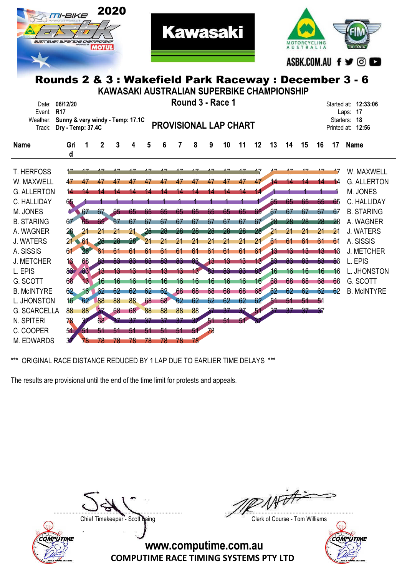



**Kawasaki** 

| KAWASAKI AUSTRALIAN SUPERBIKE CHAMPIONSHIP |                                                      |       |              |     |     |    |    |    |    |                              |                 |    |    |    |    |    |     |             |                    |
|--------------------------------------------|------------------------------------------------------|-------|--------------|-----|-----|----|----|----|----|------------------------------|-----------------|----|----|----|----|----|-----|-------------|--------------------|
| Date:                                      | Round 3 - Race 1<br>06/12/20<br>Started at: 12:33:06 |       |              |     |     |    |    |    |    |                              |                 |    |    |    |    |    |     |             |                    |
| Event:                                     | <b>R17</b>                                           |       |              |     |     |    |    |    |    |                              |                 |    |    |    |    |    |     |             | Laps: 17           |
| Weather: Sunny & very windy - Temp: 17.1C  |                                                      |       |              |     |     |    |    |    |    | <b>PROVISIONAL LAP CHART</b> |                 |    |    |    |    |    |     | Starters:   | 18                 |
| Track:                                     | Dry - Temp: 37.4C                                    |       |              |     |     |    |    |    |    |                              |                 |    |    |    |    |    |     | Printed at: | 12:56              |
| <b>Name</b>                                | Gri<br>d                                             |       | $\mathbf{2}$ | 3   | 4   | 5  | 6  | 7  | 8  | 9                            | 10              | 11 | 12 | 13 | 14 | 15 | 16  | 17          | <b>Name</b>        |
|                                            |                                                      |       |              |     |     |    |    |    |    |                              |                 |    |    |    |    |    |     |             |                    |
| <b>T. HERFOSS</b>                          |                                                      |       |              |     |     |    |    |    |    |                              |                 |    |    |    |    |    |     |             | W. MAXWELL         |
| W. MAXWELL                                 | 47                                                   |       |              |     | 47  |    | 47 |    | 47 | 47                           | 47              | 47 | 47 | Z. |    |    |     | 14          | <b>G. ALLERTON</b> |
| <b>G. ALLERTON</b>                         | 14                                                   |       |              |     |     |    |    |    |    |                              |                 |    | 14 |    |    |    |     |             | M. JONES           |
| C. HALLIDAY                                | 65.                                                  |       |              |     |     |    |    |    |    |                              |                 |    |    | 65 | 65 | 65 | 65  | 65          | C. HALLIDAY        |
| M. JONES                                   | 4 67                                                 |       | 67.          | -65 | 65  | 65 | 65 | 65 | 65 | 65                           | 65              | 65 | 65 | 67 | 67 | 67 | 67  | 67          | <b>B. STARING</b>  |
| <b>B. STARING</b>                          | 67                                                   | 65    |              | 67  | 67  | 67 | 67 | 67 | 67 | 67                           | 67              | 67 | 67 | 28 | 28 | 28 |     | 28          | A. WAGNER          |
| A. WAGNER                                  | 28                                                   | 21    |              | 21  |     | 28 |    |    |    |                              | 28              | 28 | 28 | 21 | 21 | 21 | 21  | 21          | <b>J. WATERS</b>   |
| <b>J. WATERS</b>                           | $21 - 61$                                            |       |              | 28  | 28. | 21 |    |    |    |                              | 21              | 21 | 21 | 61 | 61 | 61 | 61  | 61          | A. SISSIS          |
| A. SISSIS                                  | 61                                                   | 28    | 61           | 61  | 61  | 61 | 61 | 61 | 61 | 61                           | 61              | 61 | 61 | 43 | 13 | 13 | 13  | 18          | <b>J. METCHER</b>  |
| <b>J. METCHER</b>                          | 13                                                   | 68    | 83           | 83  | 83  | 83 | 83 | 83 | 83 | 13                           | $\overline{13}$ | 13 | 13 | 83 | 83 | 83 | 83  | 88          | L. EPIS            |
| L. EPIS                                    | 83                                                   | 63    | 13           |     |     |    |    |    |    |                              | 83              | 83 | 83 | 16 | 16 | 16 | 16  | 16          | L. JHONSTON        |
| G. SCOTT                                   | 68                                                   | 13    | 16           | 16  | 16  | 16 | 16 | 16 | 16 | 16                           | 16              | 16 | 16 | 68 | 68 | 68 | 68  | 68          | G. SCOTT           |
| <b>B. McINTYRE</b>                         | 62                                                   | $-16$ | 62           | 62  | 62  | 62 | 62 | 68 | 68 | 68                           | 68              | 68 | 68 | 62 | 62 | 62 | 62  | 62          | <b>B. McINTYRE</b> |
| L. JHONSTON                                | 16 <sup>2</sup>                                      | 62    | 88           | 88  | 88  | 68 | 68 | 62 | 62 | 62                           | 62              | 62 | 62 | 51 | 51 | 51 | n f |             |                    |
| <b>G. SCARCELLA</b>                        | 88                                                   | 88    |              | 68  | 68  | 88 | 88 | 88 | 88 |                              |                 |    |    |    |    |    |     |             |                    |
| N. SPITERI                                 | 78                                                   |       | 68           |     |     |    |    |    |    | 51                           | 51              |    |    |    |    |    |     |             |                    |
| C. COOPER                                  | 51                                                   | 51    |              |     |     |    | 51 | 51 | 51 | 78                           |                 |    |    |    |    |    |     |             |                    |
| M. EDWARDS                                 |                                                      | 78    | 78           | 78  | 78  | 78 | 78 | 78 | 78 |                              |                 |    |    |    |    |    |     |             |                    |

\*\*\* ORIGINAL RACE DISTANCE REDUCED BY 1 LAP DUE TO EARLIER TIME DELAYS \*\*\*

The results are provisional until the end of the time limit for protests and appeals.



....................................................................................... .......................................................................................

Chief Timekeeper - Scott Laing Chief Timekeeper - Scott Laing

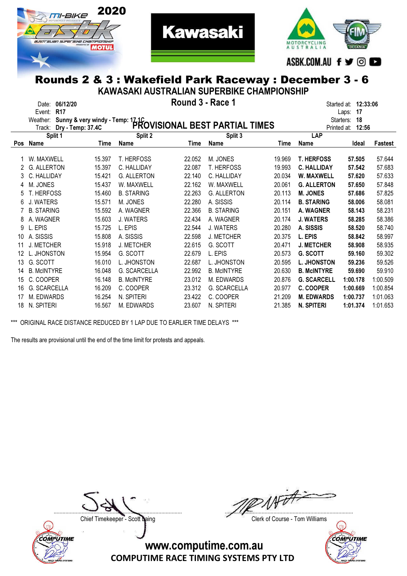



#### Rounds 2 & 3 : Wakefield Park Raceway : December 3 - 6 KAWASAKI AUSTRALIAN SUPERBIKE CHAMPIONSHIP

**Kawasaki** 

|     | Round 3 - Race 1                             |        |                     |                      |                                |             |                    |                 |          |  |  |  |  |
|-----|----------------------------------------------|--------|---------------------|----------------------|--------------------------------|-------------|--------------------|-----------------|----------|--|--|--|--|
|     | 06/12/20<br>Date:                            |        |                     | Started at: 12:33:06 |                                |             |                    |                 |          |  |  |  |  |
|     | <b>R17</b><br>Event:                         |        |                     |                      |                                |             |                    | 17<br>Laps:     |          |  |  |  |  |
|     | Weather:<br>Sunny & very windy - Temp: 17.1C |        |                     |                      |                                |             |                    | 18<br>Starters: |          |  |  |  |  |
|     | Dry - Temp: 37.4C<br>Track:                  |        |                     |                      | PROVISIONAL BEST PARTIAL TIMES |             | Printed at:        | 12:56           |          |  |  |  |  |
|     | Split 1                                      |        | Split 2             |                      | Split 3                        |             | LAP                |                 |          |  |  |  |  |
| Pos | Name                                         | Time   | <b>Name</b>         | Time                 | Name                           | <b>Time</b> | <b>Name</b>        | Ideal           | Fastest  |  |  |  |  |
|     |                                              |        |                     |                      |                                |             |                    |                 |          |  |  |  |  |
|     | W. MAXWELL                                   | 15.397 | <b>T. HERFOSS</b>   | 22.052               | M. JONES                       | 19.969      | <b>T. HERFOSS</b>  | 57,505          | 57.644   |  |  |  |  |
|     | <b>G. ALLERTON</b>                           | 15.397 | C. HALLIDAY         | 22.087               | <b>T. HERFOSS</b>              | 19.993      | <b>C. HALLIDAY</b> | 57.542          | 57.683   |  |  |  |  |
| 3   | C. HALLIDAY                                  | 15.421 | <b>G. ALLERTON</b>  | 22.140               | C. HALLIDAY                    | 20.034      | W. MAXWELL         | 57.620          | 57.633   |  |  |  |  |
| 4   | M. JONES                                     | 15.437 | W. MAXWELL          | 22.162               | W. MAXWELL                     | 20.061      | <b>G. ALLERTON</b> | 57.650          | 57.848   |  |  |  |  |
| 5   | T. HERFOSS                                   | 15.460 | <b>B. STARING</b>   | 22.263               | G. ALLERTON                    | 20.113      | <b>M. JONES</b>    | 57,686          | 57.825   |  |  |  |  |
| 6   | J. WATERS                                    | 15.571 | M. JONES            | 22.280               | A. SISSIS                      | 20.114      | <b>B. STARING</b>  | 58,006          | 58.081   |  |  |  |  |
|     | <b>B. STARING</b>                            | 15.592 | A. WAGNER           | 22.366               | <b>B. STARING</b>              | 20.151      | <b>A. WAGNER</b>   | 58.143          | 58.231   |  |  |  |  |
| 8   | A. WAGNER                                    | 15.603 | <b>J. WATERS</b>    | 22.434               | A. WAGNER                      | 20.174      | <b>J. WATERS</b>   | 58.285          | 58.386   |  |  |  |  |
| 9   | L. EPIS                                      | 15.725 | L. EPIS             | 22.544               | J. WATERS                      | 20.280      | A. SISSIS          | 58.520          | 58.740   |  |  |  |  |
| 10  | A. SISSIS                                    | 15.808 | A. SISSIS           | 22.598               | J. METCHER                     | 20.375      | L. EPIS            | 58.842          | 58.997   |  |  |  |  |
| 11  | <b>J. METCHER</b>                            | 15.918 | J. METCHER          | 22.615               | G. SCOTT                       | 20.471      | <b>J. METCHER</b>  | 58,908          | 58.935   |  |  |  |  |
| 12  | L. JHONSTON                                  | 15.954 | G. SCOTT            | 22.679               | L. EPIS                        | 20.573      | <b>G. SCOTT</b>    | 59.160          | 59.302   |  |  |  |  |
| 13  | G. SCOTT                                     | 16.010 | L. JHONSTON         | 22.687               | L. JHONSTON                    | 20.595      | <b>L. JHONSTON</b> | 59.236          | 59.526   |  |  |  |  |
| 14  | <b>B. McINTYRE</b>                           | 16.048 | <b>G. SCARCELLA</b> | 22.992               | <b>B. McINTYRE</b>             | 20.630      | <b>B. McINTYRE</b> | 59.690          | 59.910   |  |  |  |  |
| 15  | C. COOPER                                    | 16.148 | <b>B. McINTYRE</b>  | 23.012               | M. EDWARDS                     | 20.876      | <b>G. SCARCELL</b> | 1:00.178        | 1:00.509 |  |  |  |  |
| 16  | G. SCARCELLA                                 | 16.209 | C. COOPER           | 23.312               | G. SCARCELLA                   | 20.977      | C. COOPER          | 1:00.669        | 1:00.854 |  |  |  |  |
| 17  | M. EDWARDS                                   | 16.254 | N. SPITERI          | 23.422               | C. COOPER                      | 21.209      | <b>M. EDWARDS</b>  | 1:00.737        | 1:01.063 |  |  |  |  |
| 18  | N. SPITERI                                   | 16.567 | M. EDWARDS          | 23.607               | N. SPITERI                     | 21.385      | <b>N. SPITERI</b>  | 1:01.374        | 1:01.653 |  |  |  |  |

\*\*\* ORIGINAL RACE DISTANCE REDUCED BY 1 LAP DUE TO EARLIER TIME DELAYS \*\*\*

The results are provisional until the end of the time limit for protests and appeals.



With ....................................................................................... .......................................................................................

Chief Timekeeper - Scott Laing Chief Timekeeper - Scott Laing

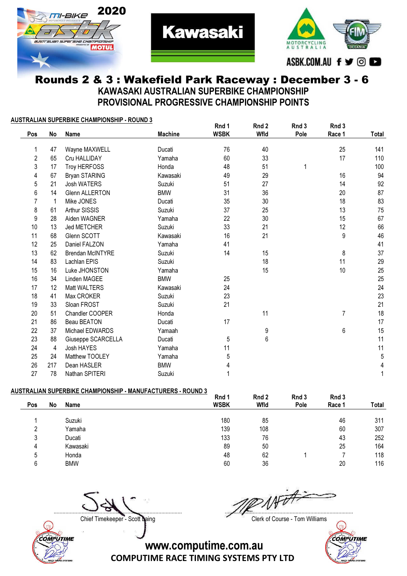



### Rounds 2 & 3 : Wakefield Park Raceway : December 3 - 6 KAWASAKI AUSTRALIAN SUPERBIKE CHAMPIONSHIP PROVISIONAL PROGRESSIVE CHAMPIONSHIP POINTS

**Kawasaki** 

#### AUSTRALIAN SUPERBIKE CHAMPIONSHIP - ROUND 3

| Pos            | No  | <b>Name</b>             | <b>Machine</b> | Rnd 1<br><b>WSBK</b> | Rnd 2<br>Wfld | Rnd 3<br>Pole | Rnd 3<br>Race 1 | Total |
|----------------|-----|-------------------------|----------------|----------------------|---------------|---------------|-----------------|-------|
|                |     |                         |                |                      |               |               |                 |       |
| 1              | 47  | Wayne MAXWELL           | Ducati         | 76                   | 40            |               | 25              | 141   |
| $\overline{2}$ | 65  | Cru HALLIDAY            | Yamaha         | 60                   | 33            |               | 17              | 110   |
| 3              | 17  | Troy HERFOSS            | Honda          | 48                   | 51            | 1             |                 | 100   |
| 4              | 67  | Bryan STARING           | Kawasaki       | 49                   | 29            |               | 16              | 94    |
| 5              | 21  | <b>Josh WATERS</b>      | Suzuki         | 51                   | 27            |               | 14              | 92    |
| 6              | 14  | <b>Glenn ALLERTON</b>   | <b>BMW</b>     | 31                   | 36            |               | 20              | 87    |
| 7              | -1  | Mike JONES              | Ducati         | 35                   | 30            |               | 18              | 83    |
| 8              | 61  | Arthur SISSIS           | Suzuki         | 37                   | 25            |               | 13              | 75    |
| 9              | 28  | Aiden WAGNER            | Yamaha         | 22                   | 30            |               | 15              | 67    |
| 10             | 13  | <b>Jed METCHER</b>      | Suzuki         | 33                   | 21            |               | 12              | 66    |
| 11             | 68  | Glenn SCOTT             | Kawasaki       | 16                   | 21            |               | 9               | 46    |
| 12             | 25  | Daniel FALZON           | Yamaha         | 41                   |               |               |                 | 41    |
| 13             | 62  | <b>Brendan McINTYRE</b> | Suzuki         | 14                   | 15            |               | 8               | 37    |
| 14             | 83  | Lachlan EPIS            | Suzuki         |                      | 18            |               | 11              | 29    |
| 15             | 16  | Luke JHONSTON           | Yamaha         |                      | 15            |               | 10              | 25    |
| 16             | 34  | Linden MAGEE            | <b>BMW</b>     | 25                   |               |               |                 | 25    |
| 17             | 12  | Matt WALTERS            | Kawasaki       | 24                   |               |               |                 | 24    |
| 18             | 41  | Max CROKER              | Suzuki         | 23                   |               |               |                 | 23    |
| 19             | 33  | Sloan FROST             | Suzuki         | 21                   |               |               |                 | 21    |
| 20             | 51  | Chandler COOPER         | Honda          |                      | 11            |               | $\overline{7}$  | 18    |
| 21             | 86  | Beau BEATON             | Ducati         | 17                   |               |               |                 | 17    |
| 22             | 37  | Michael EDWARDS         | Yamaah         |                      | 9             |               | 6               | 15    |
| 23             | 88  | Giuseppe SCARCELLA      | Ducati         | 5                    | 6             |               |                 | 11    |
| 24             | 4   | Josh HAYES              | Yamaha         | 11                   |               |               |                 | 11    |
| 25             | 24  | Matthew TOOLEY          | Yamaha         | 5                    |               |               |                 | 5     |
| 26             | 217 | Dean HASLER             | <b>BMW</b>     | 4                    |               |               |                 | 4     |
| 27             | 78  | Nathan SPITERI          | Suzuki         |                      |               |               |                 |       |

#### AUSTRALIAN SUPERBIKE CHAMPIONSHIP - MANUFACTURERS - ROUND 3

|        |            | Rnd 1       | Rnd 2 | Rnd 3 | Rnd 3  |       |
|--------|------------|-------------|-------|-------|--------|-------|
| Pos    | No<br>Name | <b>WSBK</b> | Wfld  | Pole  | Race 1 | Total |
|        |            |             |       |       |        |       |
|        | Suzuki     | 180         | 85    |       | 46     | 311   |
| റ      | Yamaha     | 139         | 108   |       | 60     | 307   |
| ર<br>J | Ducati     | 133         | 76    |       | 43     | 252   |
| 4      | Kawasaki   | 89          | 50    |       | 25     | 164   |
| 5      | Honda      | 48          | 62    |       |        | 118   |
| 6      | <b>BMW</b> | 60          | 36    |       | 20     | 116   |
|        |            |             |       |       |        |       |

....................................................................................... .......................................................................................

COMPUTIME

Chief Timekeeper - Scott Laing Chief Timekeeper - Scott Laing